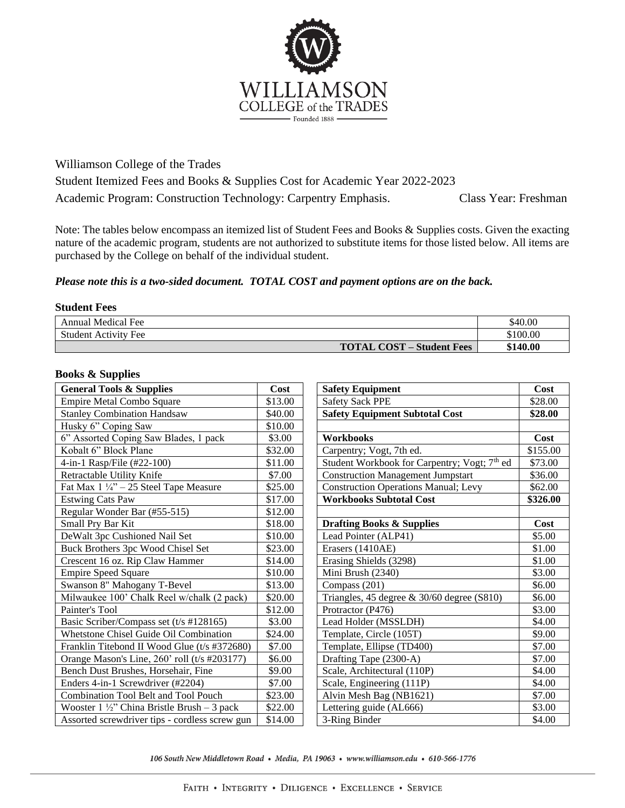

Williamson College of the Trades Student Itemized Fees and Books & Supplies Cost for Academic Year 2022-2023 Academic Program: Construction Technology: Carpentry Emphasis. Class Year: Freshman

Note: The tables below encompass an itemized list of Student Fees and Books & Supplies costs. Given the exacting nature of the academic program, students are not authorized to substitute items for those listed below. All items are purchased by the College on behalf of the individual student.

## *Please note this is a two-sided document. TOTAL COST and payment options are on the back.*

## **Student Fees**

| <b>Annual Medical Fee</b>        | \$40.00  |
|----------------------------------|----------|
| <b>Student Activity Fee</b>      | \$100.00 |
| <b>TOTAL COST – Student Fees</b> | \$140.00 |

## **Books & Supplies**

| <b>General Tools &amp; Supplies</b>                    | <b>Cost</b> | <b>Safety Equipment</b>                                  | Cost     |
|--------------------------------------------------------|-------------|----------------------------------------------------------|----------|
| <b>Empire Metal Combo Square</b>                       | \$13.00     | <b>Safety Sack PPE</b>                                   | \$28.00  |
| <b>Stanley Combination Handsaw</b>                     | \$40.00     | <b>Safety Equipment Subtotal Cost</b>                    | \$28.00  |
| Husky 6" Coping Saw                                    | \$10.00     |                                                          |          |
| 6" Assorted Coping Saw Blades, 1 pack                  | \$3.00      | Workbooks                                                | Cost     |
| Kobalt 6" Block Plane                                  | \$32.00     | Carpentry; Vogt, 7th ed.                                 | \$155.00 |
| 4-in-1 Rasp/File (#22-100)                             | \$11.00     | Student Workbook for Carpentry; Vogt; 7 <sup>th</sup> ed | \$73.00  |
| Retractable Utility Knife                              | \$7.00      | <b>Construction Management Jumpstart</b>                 | \$36.00  |
| Fat Max $1\frac{1}{4}$ " - 25 Steel Tape Measure       | \$25.00     | <b>Construction Operations Manual; Levy</b>              | \$62.00  |
| <b>Estwing Cats Paw</b>                                | \$17.00     | <b>Workbooks Subtotal Cost</b>                           | \$326.00 |
| Regular Wonder Bar (#55-515)                           | \$12.00     |                                                          |          |
| Small Pry Bar Kit                                      | \$18.00     | <b>Drafting Books &amp; Supplies</b>                     | Cost     |
| DeWalt 3pc Cushioned Nail Set                          | \$10.00     | Lead Pointer (ALP41)                                     | \$5.00   |
| Buck Brothers 3pc Wood Chisel Set                      | \$23.00     | Erasers (1410AE)                                         | \$1.00   |
| Crescent 16 oz. Rip Claw Hammer                        | \$14.00     | Erasing Shields (3298)                                   | \$1.00   |
| <b>Empire Speed Square</b>                             | \$10.00     | Mini Brush (2340)                                        | \$3.00   |
| Swanson 8" Mahogany T-Bevel                            | \$13.00     | Compass (201)                                            | \$6.00   |
| Milwaukee 100' Chalk Reel w/chalk (2 pack)             | \$20.00     | Triangles, 45 degree $\&$ 30/60 degree (S810)            | \$6.00   |
| Painter's Tool                                         | \$12.00     | Protractor (P476)                                        | \$3.00   |
| Basic Scriber/Compass set (t/s #128165)                | \$3.00      | Lead Holder (MSSLDH)                                     | \$4.00   |
| Whetstone Chisel Guide Oil Combination                 | \$24.00     | Template, Circle (105T)                                  | \$9.00   |
| Franklin Titebond II Wood Glue (t/s #372680)           | \$7.00      | Template, Ellipse (TD400)                                | \$7.00   |
| Orange Mason's Line, 260' roll (t/s #203177)           | \$6.00      | Drafting Tape (2300-A)                                   | \$7.00   |
| Bench Dust Brushes, Horsehair, Fine                    | \$9.00      | Scale, Architectural (110P)                              | \$4.00   |
| Enders 4-in-1 Screwdriver (#2204)                      | \$7.00      | Scale, Engineering (111P)                                | \$4.00   |
| Combination Tool Belt and Tool Pouch                   | \$23.00     | Alvin Mesh Bag (NB1621)                                  | \$7.00   |
| Wooster $1 \frac{1}{2}$ " China Bristle Brush – 3 pack | \$22.00     | Lettering guide (AL666)                                  | \$3.00   |
| Assorted screwdriver tips - cordless screw gun         | \$14.00     | 3-Ring Binder                                            | \$4.00   |

106 South New Middletown Road • Media, PA 19063 • www.williamson.edu • 610-566-1776